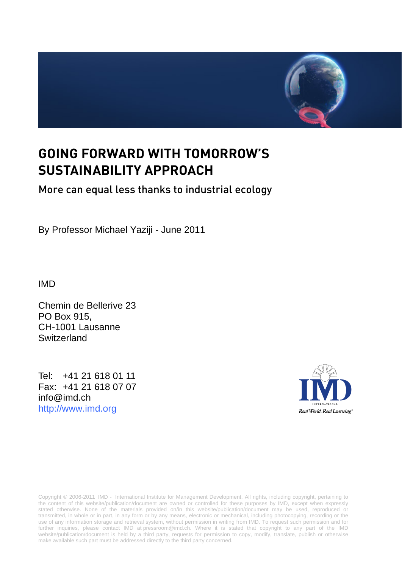

# **GOING FORWARD WITH TOMORROW'S SUSTAINABILITY APPROACH**

## More can equal less thanks to industrial ecology

By Professor Michael Yaziji - June 2011

IMD

Chemin de Bellerive 23 PO Box 915, CH-1001 Lausanne Switzerland

Tel: +41 21 618 01 11 Fax: +41 21 618 07 07 [info@imd.ch](mailto:info@imd.ch)  [http://www.imd.org](http://www.imd.org/)



Copyright © 2006-2011 IMD - International Institute for Management Development. All rights, including copyright, pertaining to the content of this website/publication/document are owned or controlled for these purposes by IMD, except when expressly stated otherwise. None of the materials provided on/in this website/publication/document may be used, reproduced or transmitted, in whole or in part, in any form or by any means, electronic or mechanical, including photocopying, recording or the use of any information storage and retrieval system, without permission in writing from IMD. To request such permission and for further inquiries, please contact IMD at pressroom@imd.ch. Where it is stated that copyright to any part of the IMD website/publication/document is held by a third party, requests for permission to copy, modify, translate, publish or otherwise make available such part must be addressed directly to the third party concerned.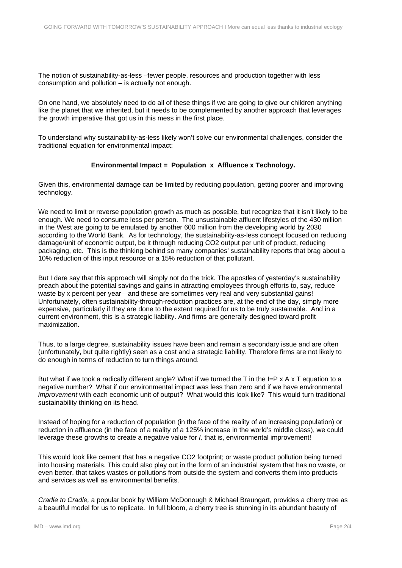The notion of sustainability-as-less –fewer people, resources and production together with less consumption and pollution – is actually not enough.

On one hand, we absolutely need to do all of these things if we are going to give our children anything like the planet that we inherited, but it needs to be complemented by another approach that leverages the growth imperative that got us in this mess in the first place.

To understand why sustainability-as-less likely won't solve our environmental challenges, consider the traditional equation for environmental impact:

### **Environmental Impact = Population x Affluence x Technology.**

Given this, environmental damage can be limited by reducing population, getting poorer and improving technology.

We need to limit or reverse population growth as much as possible, but recognize that it isn't likely to be enough. We need to consume less per person. The unsustainable affluent lifestyles of the 430 million in the West are going to be emulated by another 600 million from the developing world by 2030 according to the World Bank. As for technology, the sustainability-as-less concept focused on reducing damage/unit of economic output, be it through reducing CO2 output per unit of product, reducing packaging, etc. This is the thinking behind so many companies' sustainability reports that brag about a 10% reduction of this input resource or a 15% reduction of that pollutant.

But I dare say that this approach will simply not do the trick. The apostles of yesterday's sustainability preach about the potential savings and gains in attracting employees through efforts to, say, reduce waste by x percent per year—and these are sometimes very real and very substantial gains! Unfortunately, often sustainability-through-reduction practices are, at the end of the day, simply more expensive, particularly if they are done to the extent required for us to be truly sustainable. And in a current environment, this is a strategic liability. And firms are generally designed toward profit maximization.

Thus, to a large degree, sustainability issues have been and remain a secondary issue and are often (unfortunately, but quite rightly) seen as a cost and a strategic liability. Therefore firms are not likely to do enough in terms of reduction to turn things around.

But what if we took a radically different angle? What if we turned the T in the I=P x A x T equation to a negative number? What if our environmental impact was less than zero and if we have environmental *improvement* with each economic unit of output? What would this look like? This would turn traditional sustainability thinking on its head.

Instead of hoping for a reduction of population (in the face of the reality of an increasing population) or reduction in affluence (in the face of a reality of a 125% increase in the world's middle class), we could leverage these growths to create a negative value for *I,* that is, environmental improvement!

This would look like cement that has a negative CO2 footprint; or waste product pollution being turned into housing materials. This could also play out in the form of an industrial system that has no waste, or even better, that takes wastes or pollutions from outside the system and converts them into products and services as well as environmental benefits.

*Cradle to Cradle,* a popular book by William McDonough & Michael Braungart, provides a cherry tree as a beautiful model for us to replicate. In full bloom, a cherry tree is stunning in its abundant beauty of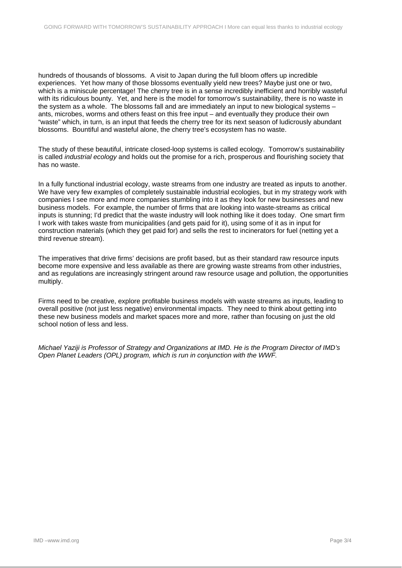hundreds of thousands of blossoms. A visit to Japan during the full bloom offers up incredible experiences. Yet how many of those blossoms eventually yield new trees? Maybe just one or two, which is a miniscule percentage! The cherry tree is in a sense incredibly inefficient and horribly wasteful with its ridiculous bounty. Yet, and here is the model for tomorrow's sustainability, there is no waste in the system as a whole. The blossoms fall and are immediately an input to new biological systems – ants, microbes, worms and others feast on this free input – and eventually they produce their own "waste" which, in turn, is an input that feeds the cherry tree for its next season of ludicrously abundant blossoms. Bountiful and wasteful alone, the cherry tree's ecosystem has no waste.

The study of these beautiful, intricate closed-loop systems is called ecology. Tomorrow's sustainability is called *industrial ecology* and holds out the promise for a rich, prosperous and flourishing society that has no waste.

In a fully functional industrial ecology, waste streams from one industry are treated as inputs to another. We have very few examples of completely sustainable industrial ecologies, but in my strategy work with companies I see more and more companies stumbling into it as they look for new businesses and new business models. For example, the number of firms that are looking into waste-streams as critical inputs is stunning; I'd predict that the waste industry will look nothing like it does today. One smart firm I work with takes waste from municipalities (and gets paid for it), using some of it as in input for construction materials (which they get paid for) and sells the rest to incinerators for fuel (netting yet a third revenue stream).

The imperatives that drive firms' decisions are profit based, but as their standard raw resource inputs become more expensive and less available as there are growing waste streams from other industries, and as regulations are increasingly stringent around raw resource usage and pollution, the opportunities multiply.

Firms need to be creative, explore profitable business models with waste streams as inputs, leading to overall positive (not just less negative) environmental impacts. They need to think about getting into these new business models and market spaces more and more, rather than focusing on just the old school notion of less and less.

*Michael Yaziji is Professor of Strategy and Organizations at IMD. He is the Program Director of IMD's Open Planet Leaders (OPL) program, which is run in conjunction with the WWF.*